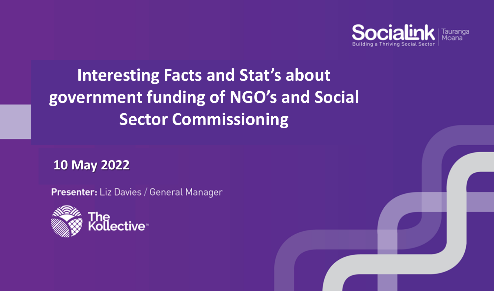

# **Interesting Facts and Stat's about government funding of NGO's and Social Sector Commissioning**

**10 May 2022**

**Presenter:** Liz Davies / General Manager

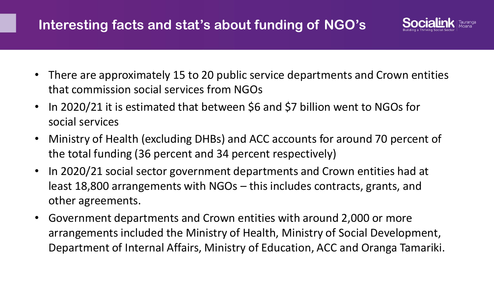## **Interesting facts and stat's about funding of NGO's**



- There are approximately 15 to 20 public service departments and Crown entities that commission social services from NGOs
- In 2020/21 it is estimated that between \$6 and \$7 billion went to NGOs for social services
- Ministry of Health (excluding DHBs) and ACC accounts for around 70 percent of the total funding (36 percent and 34 percent respectively)
- In 2020/21 social sector government departments and Crown entities had at least 18,800 arrangements with NGOs – this includes contracts, grants, and other agreements.
- Government departments and Crown entities with around 2,000 or more arrangements included the Ministry of Health, Ministry of Social Development, Department of Internal Affairs, Ministry of Education, ACC and Oranga Tamariki.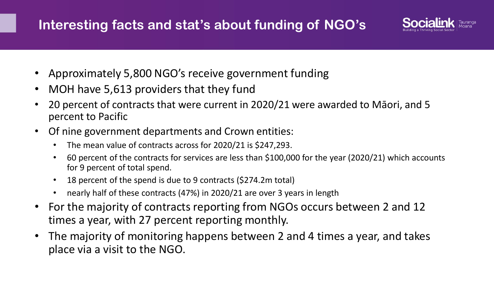## **Interesting facts and stat's about funding of NGO's**



- Approximately 5,800 NGO's receive government funding
- MOH have 5,613 providers that they fund
- 20 percent of contracts that were current in 2020/21 were awarded to Māori, and 5 percent to Pacific
- Of nine government departments and Crown entities:
	- The mean value of contracts across for 2020/21 is \$247,293.
	- 60 percent of the contracts for services are less than \$100,000 for the year (2020/21) which accounts for 9 percent of total spend.
	- 18 percent of the spend is due to 9 contracts (\$274.2m total)
	- nearly half of these contracts (47%) in 2020/21 are over 3 years in length
- For the majority of contracts reporting from NGOs occurs between 2 and 12 times a year, with 27 percent reporting monthly.
- The majority of monitoring happens between 2 and 4 times a year, and takes place via a visit to the NGO.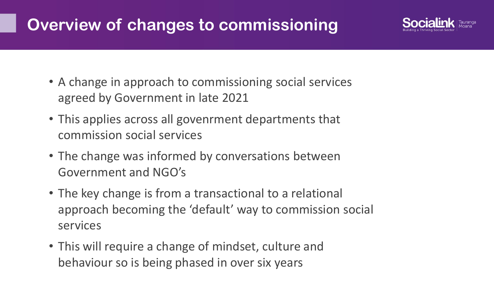# **Overview of changes to commissioning**



- A change in approach to commissioning social services agreed by Government in late 2021
- This applies across all govenrment departments that commission social services
- The change was informed by conversations between Government and NGO's
- The key change is from a transactional to a relational approach becoming the 'default' way to commission social services
- This will require a change of mindset, culture and behaviour so is being phased in over six years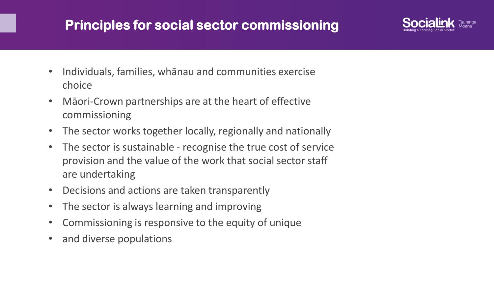### **Principles for social sector commissioning**



- Individuals, families, whānau and communities exercise choice
- Māori-Crown partnerships are at the heart of effective commissioning
- The sector works together locally, regionally and nationally
- The sector is sustainable recognise the true cost of service provision and the value of the work that social sector staff are undertaking
- Decisions and actions are taken transparently
- The sector is always learning and improving
- Commissioning is responsive to the equity of unique
- and diverse populations